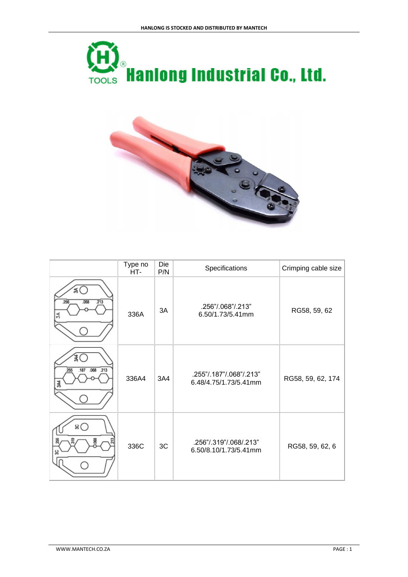



|                                   | Type no<br>HT- | Die<br>P/N | Specifications                                   | Crimping cable size |
|-----------------------------------|----------------|------------|--------------------------------------------------|---------------------|
| 系1<br>$-213$<br>256<br>.068<br>ZÁ | 336A           | 3A         | .256"/.068"/.213"<br>6.50/1.73/5.41mm            | RG58, 59, 62        |
| .068 .213<br>.187                 | 336A4          | 3A4        | .255"/.187"/.068"/.213"<br>6.48/4.75/1.73/5.41mm | RG58, 59, 62, 174   |
| sС                                | 336C           | 3C         | .256"/.319"/.068/.213"<br>6.50/8.10/1.73/5.41mm  | RG58, 59, 62, 6     |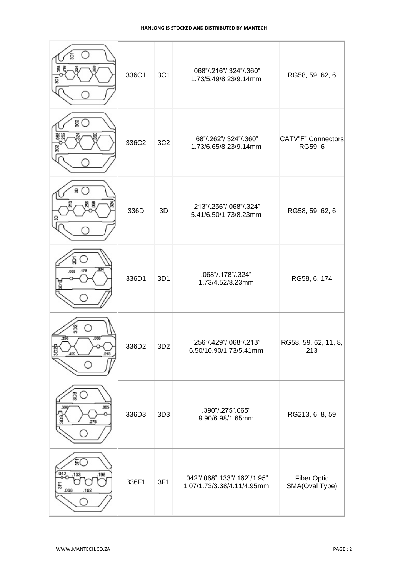|                                         | 336C1             | 3C1             | .068"/.216"/.324"/.360"<br>1.73/5.49/8.23/9.14mm           | RG58, 59, 62, 6                      |
|-----------------------------------------|-------------------|-----------------|------------------------------------------------------------|--------------------------------------|
| gО<br>g                                 | 336C2             | 3C <sub>2</sub> | .68"/.262"/.324"/.360"<br>1.73/6.65/8.23/9.14mm            | CATV"F" Connectors<br>RG59, 6        |
| g                                       | 336D              | 3D              | .213"/.256"/.068"/.324"<br>5.41/6.50/1.73/8.23mm           | RG58, 59, 62, 6                      |
| ğ<br>.068 .178                          | 336D1             | 3D1             | .068"/.178"/.324"<br>1.73/4.52/8.23mm                      | RG58, 6, 174                         |
| ğ<br>.256<br>068<br>3D2<br>429<br>213   | 336D <sub>2</sub> | 3D <sub>2</sub> | .256"/.429"/.068"/.213"<br>6.50/10.90/1.73/5.41mm          | RG58, 59, 62, 11, 8,<br>213          |
| ខ្ល<br>.085<br>g<br>275                 | 336D3             | 3D <sub>3</sub> | .390"/.275".065"<br>9.90/6.98/1.65mm                       | RG213, 6, 8, 59                      |
| FО<br>042<br>.195<br>133<br>.068<br>162 | 336F1             | 3F1             | .042"/.068".133"/.162"/1.95"<br>1.07/1.73/3.38/4.11/4.95mm | <b>Fiber Optic</b><br>SMA(Oval Type) |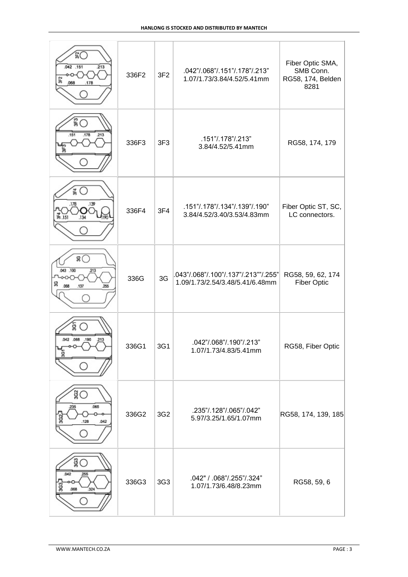| ŝС<br>$\overline{2}13$<br>.042 .151<br>068<br>.178                       | 336F2 | 3F <sub>2</sub> | .042"/.068"/.151"/.178"/.213"<br>1.07/1.73/3.84/4.52/5.41mm             | Fiber Optic SMA,<br>SMB Conn.<br>RG58, 174, Belden<br>8281 |
|--------------------------------------------------------------------------|-------|-----------------|-------------------------------------------------------------------------|------------------------------------------------------------|
| $\degree$<br>.178<br>.213<br>,151<br>듛                                   | 336F3 | 3F <sub>3</sub> | .151"/.178"/.213"<br>3.84/4.52/5.41mm                                   | RG58, 174, 179                                             |
| 篇<br>.139<br>.178<br>농 .151<br>134                                       | 336F4 | 3F4             | .151"/.178"/.134"/.139"/.190"<br>3.84/4.52/3.40/3.53/4.83mm             | Fiber Optic ST, SC,<br>LC connectors.                      |
| $\overline{\mathcal{S}}$<br>043 .100<br>.213<br>g<br>.068<br>.137<br>255 | 336G  | 3G              | .043"/.068"/.100"/.137"/.213""/.255"<br>1.09/1.73/2.54/3.48/5.41/6.48mm | RG58, 59, 62, 174<br><b>Fiber Optic</b>                    |
| ġ<br>042 .068 .190<br>.213                                               | 336G1 | 3G1             | .042"/.068"/.190"/.213"<br>1.07/1.73/4.83/5.41mm                        | RG58, Fiber Optic                                          |
| §⊜<br>065<br>235<br>.128<br>.042                                         | 336G2 | 3G <sub>2</sub> | .235"/.128"/.065"/.042"<br>5.97/3.25/1.65/1.07mm                        | RG58, 174, 139, 185                                        |
| gС<br>042<br>255<br>ğ<br>880.<br>324                                     | 336G3 | 3G3             | .042" / .068"/.255"/.324"<br>1.07/1.73/6.48/8.23mm                      | RG58, 59, 6                                                |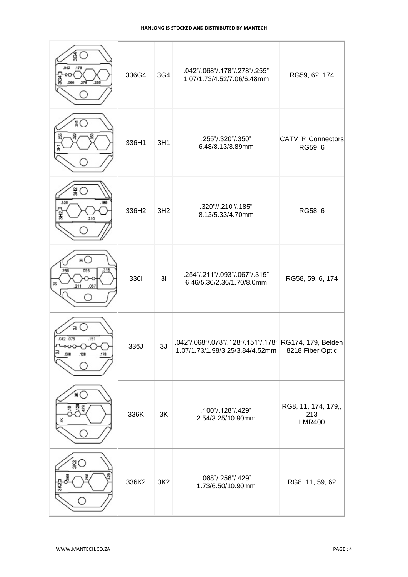| ల్ల<br>.042 .178<br>Š<br>.068<br>.278<br>255   | 336G4 | 3G4             | .042"/.068"/.178"/.278"/.255"<br>1.07/1.73/4.52/7.06/6.48mm                               | RG59, 62, 174                               |
|------------------------------------------------|-------|-----------------|-------------------------------------------------------------------------------------------|---------------------------------------------|
| āΟ                                             | 336H1 | 3H1             | .255"/.320"/.350"<br>6.48/8.13/8.89mm                                                     | <b>CATV F Connectors</b><br>RG59, 6         |
| 욿(<br>.320<br>.185<br>웊<br>210                 | 336H2 | 3H <sub>2</sub> | .320"//.210"/.185"<br>8.13/5.33/4.70mm                                                    | RG58, 6                                     |
| ឝ(<br>.093<br>255<br>淸<br>211<br>.067          | 3361  | 3I              | .254"/.211"/.093"/.067"/.315"<br>6.46/5.36/2.36/1.70/8.0mm                                | RG58, 59, 6, 174                            |
| B<br>.042 .078<br>.151<br>.128<br>,068<br>.178 | 336J  | 3J              | .042"/.068"/.078"/.128"/.151"/.178" RG174, 179, Belden<br>1.07/1.73/1.98/3.25/3.84/4.52mm | 8218 Fiber Optic                            |
| ⋇                                              | 336K  | 3K              | .100"/.128"/.429"<br>2.54/3.25/10.90mm                                                    | RG8, 11, 174, 179,,<br>213<br><b>LMR400</b> |
| š (                                            | 336K2 | 3K2             | .068"/.256"/.429"<br>1.73/6.50/10.90mm                                                    | RG8, 11, 59, 62                             |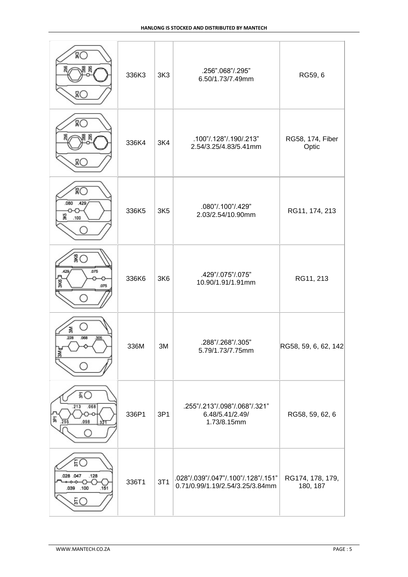|                                                        | 336K3 | 3K <sub>3</sub> | .256".068"/.295"<br>6.50/1.73/7.49mm                                   | RG59, 6                      |
|--------------------------------------------------------|-------|-----------------|------------------------------------------------------------------------|------------------------------|
| 20                                                     | 336K4 | 3K <sub>4</sub> | .100"/.128"/.190/.213"<br>2.54/3.25/4.83/5.41mm                        | RG58, 174, Fiber<br>Optic    |
| .080<br>.429<br>S.<br>.100                             | 336K5 | 3K5             | .080"/.100"/.429"<br>2.03/2.54/10.90mm                                 | RG11, 174, 213               |
| ¥О<br>.075<br>429<br>紧<br>.075                         | 336K6 | 3K6             | .429"/.075"/.075"<br>10.90/1.91/1.91mm                                 | RG11, 213                    |
| 줆<br>228<br>.068<br>306<br>3Mg                         | 336M  | 3M              | .288"/.268"/.305"<br>5.79/1.73/7.75mm                                  | RG58, 59, 6, 62, 142         |
| ÃО<br>.213<br>.068<br>譶<br>.098<br>255                 | 336P1 | 3P1             | .255"/.213"/.098"/.068"/.321"<br>6.48/5.41/2.49/<br>1.73/8.15mm        | RG58, 59, 62, 6              |
| ĔО<br>028 .047<br>.128<br>↷<br>.039 .100<br>.151<br>ĔС | 336T1 | 3T1             | .028"/.039"/.047"/.100"/.128"/.151"<br>0.71/0.99/1.19/2.54/3.25/3.84mm | RG174, 178, 179,<br>180, 187 |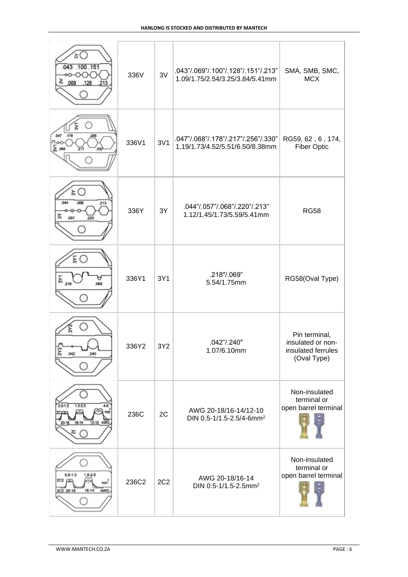| ≳<br>.043 .100 .151<br>ణ ⊚<br>.128<br>213                                           | 336V  | 3V              | .043"/.069"/.100"/.128"/.151"/.213"<br>1.09/1.75/2.54/3.25/3.84/5.41mm | SMA, SMB, SMC,<br><b>MCX</b>                                            |
|-------------------------------------------------------------------------------------|-------|-----------------|------------------------------------------------------------------------|-------------------------------------------------------------------------|
| .047<br>.178<br>256<br>200-<br>$\frac{1}{60}$ .068<br>217                           | 336V1 | 3V1             | .047"/.068"/.178"/.217"/.256"/.330"<br>1.19/1.73/4.52/5.51/6.50/8.38mm | RG59, 62, 6, 174,<br><b>Fiber Optic</b>                                 |
| ≿ਾ<br>044<br>068<br>.213<br>≿<br>057                                                | 336Y  | 3Y              | .044"/.057"/.068"/.220"/.213"<br>1.12/1.45/1.73/5.59/5.41mm            | <b>RG58</b>                                                             |
| ξC<br>ы<br>069                                                                      | 336Y1 | 3Y1             | .218"/.069"<br>5.54/1.75mm                                             | RG58(Oval Type)                                                         |
| 3Y2<br>.042<br>240                                                                  | 336Y2 | 3Y2             | .042"/.240"<br>1.07/6.10mm                                             | Pin terminal,<br>insulated or non-<br>insulated ferrules<br>(Oval Type) |
| $0.5 - 1.0$<br>$1.5 - 2.5$<br>12-10 AWG<br>$20 - 18$<br>16-14<br>20                 | 236C  | 2C              | AWG 20-18/16-14/12-10<br>DIN 0.5-1/1.5-2.5/4-6mm <sup>2</sup>          | Non-insulated<br>terminal or<br>open barrel terminal                    |
| $0.5 - 1.0$<br>$1.5 - 2.5$<br>2C2 GS<br>m <sup>2</sup><br>16-14<br>AWG<br>2C2 20-18 | 236C2 | 2C <sub>2</sub> | AWG 20-18/16-14<br>DIN 0.5-1/1.5-2.5mm <sup>2</sup>                    | Non-insulated<br>terminal or<br>open barrel terminal                    |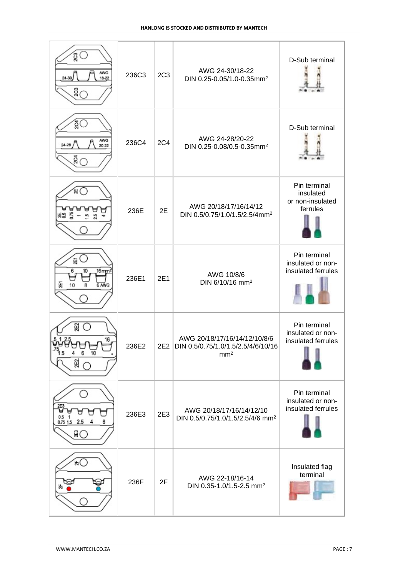| ĝΟ<br><b>AWG</b><br>$24 - 30$<br>18-22<br>ឌី $\subset$ | 236C3 | 2C <sub>3</sub> | AWG 24-30/18-22<br>DIN 0.25-0.05/1.0-0.35mm <sup>2</sup>                                  | D-Sub terminal                                            |
|--------------------------------------------------------|-------|-----------------|-------------------------------------------------------------------------------------------|-----------------------------------------------------------|
| ŏО<br>AWG<br>24-28<br>20-22<br>ន្ថិ $\subset$          | 236C4 | <b>2C4</b>      | AWG 24-28/20-22<br>DIN 0.25-0.08/0.5-0.35mm <sup>2</sup>                                  | D-Sub terminal                                            |
| ัผ (                                                   | 236E  | 2E              | AWG 20/18/17/16/14/12<br>DIN 0.5/0.75/1.0/1.5/2.5/4mm <sup>2</sup>                        | Pin terminal<br>insulated<br>or non-insulated<br>ferrules |
| E.<br>6<br>10<br>$16$ mm $2$<br>Ñ<br>10<br>8<br>6 AWG  | 236E1 | 2E1             | AWG 10/8/6<br>DIN 6/10/16 mm <sup>2</sup>                                                 | Pin terminal<br>insulated or non-<br>insulated ferrules   |
| ଧୁ<br>$\left( \right)$<br>16<br>6<br>10<br>25          | 236E2 |                 | AWG 20/18/17/16/14/12/10/8/6<br>2E2 DIN 0.5/0.75/1.0/1.5/2.5/4/6/10/16<br>mm <sup>2</sup> | Pin terminal<br>insulated or non-<br>insulated ferrules   |
| 2E3<br>0.5<br>$0.75$ 1.5 2.5<br>ÃС                     | 236E3 | 2E3             | AWG 20/18/17/16/14/12/10<br>DIN 0.5/0.75/1.0/1.5/2.5/4/6 mm <sup>2</sup>                  | Pin terminal<br>insulated or non-<br>insulated ferrules   |
| ,⊭                                                     | 236F  | 2F              | AWG 22-18/16-14<br>DIN 0.35-1.0/1.5-2.5 mm <sup>2</sup>                                   | Insulated flag<br>terminal                                |